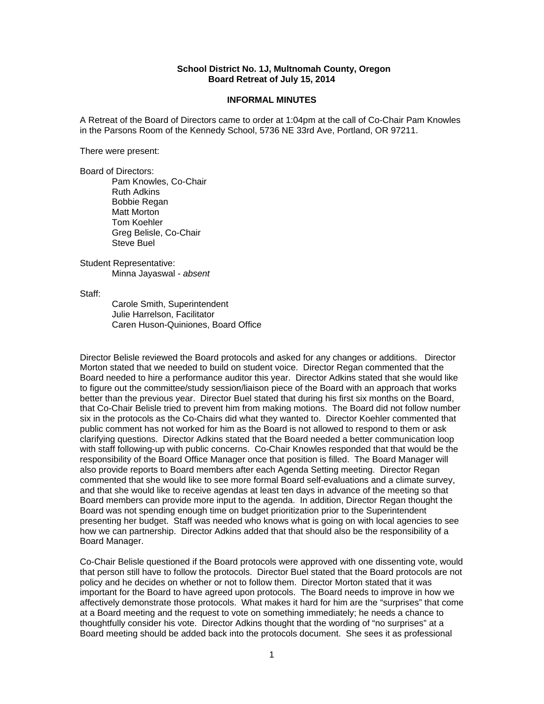## **School District No. 1J, Multnomah County, Oregon Board Retreat of July 15, 2014**

## **INFORMAL MINUTES**

A Retreat of the Board of Directors came to order at 1:04pm at the call of Co-Chair Pam Knowles in the Parsons Room of the Kennedy School, 5736 NE 33rd Ave, Portland, OR 97211.

There were present:

Board of Directors: Pam Knowles, Co-Chair Ruth Adkins Bobbie Regan Matt Morton Tom Koehler Greg Belisle, Co-Chair Steve Buel

Student Representative: Minna Jayaswal - *absent* 

Staff:

 Carole Smith, Superintendent Julie Harrelson, Facilitator Caren Huson-Quiniones, Board Office

Director Belisle reviewed the Board protocols and asked for any changes or additions. Director Morton stated that we needed to build on student voice. Director Regan commented that the Board needed to hire a performance auditor this year. Director Adkins stated that she would like to figure out the committee/study session/liaison piece of the Board with an approach that works better than the previous year. Director Buel stated that during his first six months on the Board, that Co-Chair Belisle tried to prevent him from making motions. The Board did not follow number six in the protocols as the Co-Chairs did what they wanted to. Director Koehler commented that public comment has not worked for him as the Board is not allowed to respond to them or ask clarifying questions. Director Adkins stated that the Board needed a better communication loop with staff following-up with public concerns. Co-Chair Knowles responded that that would be the responsibility of the Board Office Manager once that position is filled. The Board Manager will also provide reports to Board members after each Agenda Setting meeting. Director Regan commented that she would like to see more formal Board self-evaluations and a climate survey, and that she would like to receive agendas at least ten days in advance of the meeting so that Board members can provide more input to the agenda. In addition, Director Regan thought the Board was not spending enough time on budget prioritization prior to the Superintendent presenting her budget. Staff was needed who knows what is going on with local agencies to see how we can partnership. Director Adkins added that that should also be the responsibility of a Board Manager.

Co-Chair Belisle questioned if the Board protocols were approved with one dissenting vote, would that person still have to follow the protocols. Director Buel stated that the Board protocols are not policy and he decides on whether or not to follow them. Director Morton stated that it was important for the Board to have agreed upon protocols. The Board needs to improve in how we affectively demonstrate those protocols. What makes it hard for him are the "surprises" that come at a Board meeting and the request to vote on something immediately; he needs a chance to thoughtfully consider his vote. Director Adkins thought that the wording of "no surprises" at a Board meeting should be added back into the protocols document. She sees it as professional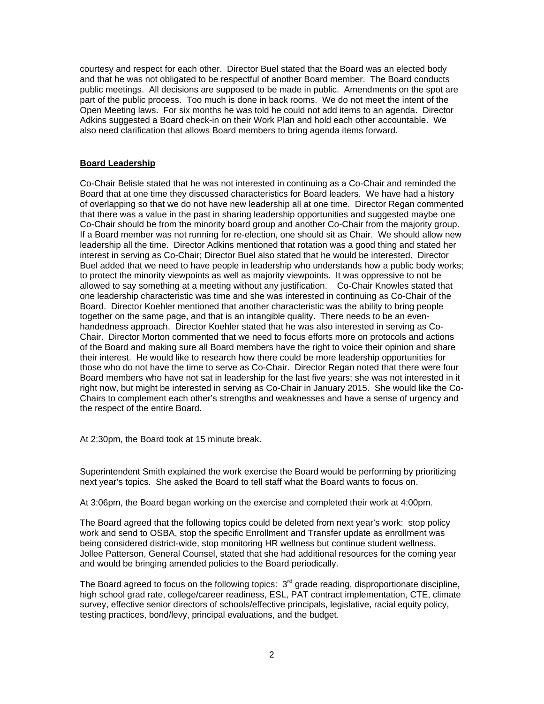courtesy and respect for each other. Director Buel stated that the Board was an elected body and that he was not obligated to be respectful of another Board member. The Board conducts public meetings. All decisions are supposed to be made in public. Amendments on the spot are part of the public process. Too much is done in back rooms. We do not meet the intent of the Open Meeting laws. For six months he was told he could not add items to an agenda. Director Adkins suggested a Board check-in on their Work Plan and hold each other accountable. We also need clarification that allows Board members to bring agenda items forward.

## **Board Leadership**

Co-Chair Belisle stated that he was not interested in continuing as a Co-Chair and reminded the Board that at one time they discussed characteristics for Board leaders. We have had a history of overlapping so that we do not have new leadership all at one time. Director Regan commented that there was a value in the past in sharing leadership opportunities and suggested maybe one Co-Chair should be from the minority board group and another Co-Chair from the majority group. If a Board member was not running for re-election, one should sit as Chair. We should allow new leadership all the time. Director Adkins mentioned that rotation was a good thing and stated her interest in serving as Co-Chair; Director Buel also stated that he would be interested. Director Buel added that we need to have people in leadership who understands how a public body works; to protect the minority viewpoints as well as majority viewpoints. It was oppressive to not be allowed to say something at a meeting without any justification. Co-Chair Knowles stated that one leadership characteristic was time and she was interested in continuing as Co-Chair of the Board. Director Koehler mentioned that another characteristic was the ability to bring people together on the same page, and that is an intangible quality. There needs to be an evenhandedness approach. Director Koehler stated that he was also interested in serving as Co-Chair. Director Morton commented that we need to focus efforts more on protocols and actions of the Board and making sure all Board members have the right to voice their opinion and share their interest. He would like to research how there could be more leadership opportunities for those who do not have the time to serve as Co-Chair. Director Regan noted that there were four Board members who have not sat in leadership for the last five years; she was not interested in it right now, but might be interested in serving as Co-Chair in January 2015. She would like the Co-Chairs to complement each other's strengths and weaknesses and have a sense of urgency and the respect of the entire Board.

At 2:30pm, the Board took at 15 minute break.

Superintendent Smith explained the work exercise the Board would be performing by prioritizing next year's topics. She asked the Board to tell staff what the Board wants to focus on.

At 3:06pm, the Board began working on the exercise and completed their work at 4:00pm.

The Board agreed that the following topics could be deleted from next year's work: stop policy work and send to OSBA, stop the specific Enrollment and Transfer update as enrollment was being considered district-wide, stop monitoring HR wellness but continue student wellness. Jollee Patterson, General Counsel, stated that she had additional resources for the coming year and would be bringing amended policies to the Board periodically.

The Board agreed to focus on the following topics: 3rd grade reading, disproportionate discipline**,**  high school grad rate, college/career readiness, ESL, PAT contract implementation, CTE, climate survey, effective senior directors of schools/effective principals, legislative, racial equity policy, testing practices, bond/levy, principal evaluations, and the budget.